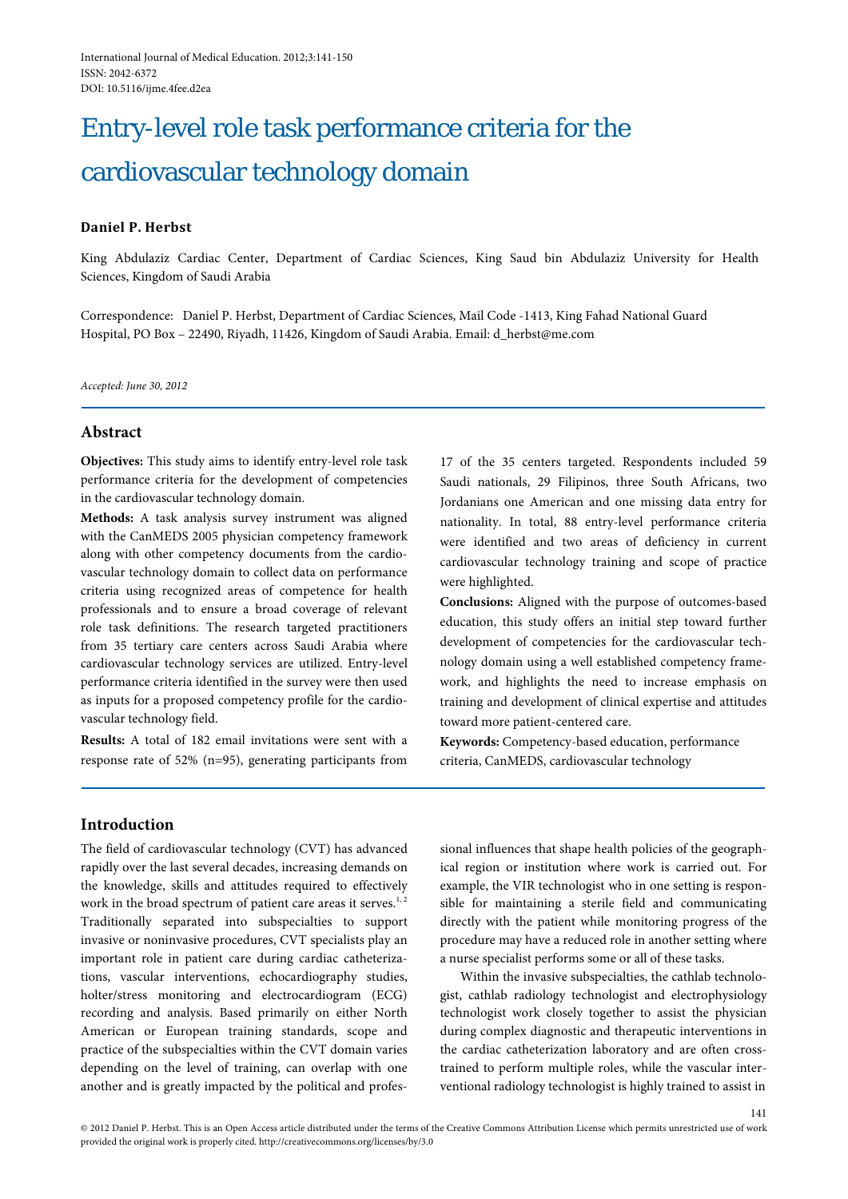# Entry-level role task performance criteria for the cardiovascular technology domain

# **Daniel P. Herbst**

King Abdulaziz Cardiac Center, Department of Cardiac Sciences, King Saud bin Abdulaziz University for Health Sciences, Kingdom of Saudi Arabia

Correspondence: Daniel P. Herbst, Department of Cardiac Sciences, Mail Code -1413, King Fahad National Guard Hospital, PO Box – 22490, Riyadh, 11426, Kingdom of Saudi Arabia. Email: d\_herbst@me.com

*Accepted: June 30, 2012*

# **Abstract**

**Objectives:** This study aims to identify entry-level role task performance criteria for the development of competencies in the cardiovascular technology domain.

**Methods:** A task analysis survey instrument was aligned with the CanMEDS 2005 physician competency framework along with other competency documents from the cardiovascular technology domain to collect data on performance criteria using recognized areas of competence for health professionals and to ensure a broad coverage of relevant role task definitions. The research targeted practitioners from 35 tertiary care centers across Saudi Arabia where cardiovascular technology services are utilized. Entry-level performance criteria identified in the survey were then used as inputs for a proposed competency profile for the cardiovascular technology field.

**Results:** A total of 182 email invitations were sent with a response rate of 52% (n=95), generating participants from

17 of the 35 centers targeted. Respondents included 59 Saudi nationals, 29 Filipinos, three South Africans, two Jordanians one American and one missing data entry for nationality. In total, 88 entry-level performance criteria were identified and two areas of deficiency in current cardiovascular technology training and scope of practice were highlighted.

**Conclusions:** Aligned with the purpose of outcomes-based education, this study offers an initial step toward further development of competencies for the cardiovascular technology domain using a well established competency framework, and highlights the need to increase emphasis on training and development of clinical expertise and attitudes toward more patient-centered care.

**Keywords:** Competency-based education, performance criteria, CanMEDS, cardiovascular technology

# **Introduction**

The field of cardiovascular technology (CVT) has advanced rapidly over the last several decades, increasing demands on the knowledge, skills and attitudes required to effectively work in the broad spectrum of patient care areas it serves. $1, 2$ Traditionally separated into subspecialties to support invasive or noninvasive procedures, CVT specialists play an important role in patient care during cardiac catheterizations, vascular interventions, echocardiography studies, holter/stress monitoring and electrocardiogram (ECG) recording and analysis. Based primarily on either North American or European training standards, scope and practice of the subspecialties within the CVT domain varies depending on the level of training, can overlap with one another and is greatly impacted by the political and professional influences that shape health policies of the geographical region or institution where work is carried out. For example, the VIR technologist who in one setting is responsible for maintaining a sterile field and communicating directly with the patient while monitoring progress of the procedure may have a reduced role in another setting where a nurse specialist performs some or all of these tasks.

Within the invasive subspecialties, the cathlab technologist, cathlab radiology technologist and electrophysiology technologist work closely together to assist the physician during complex diagnostic and therapeutic interventions in the cardiac catheterization laboratory and are often crosstrained to perform multiple roles, while the vascular interventional radiology technologist is highly trained to assist in

141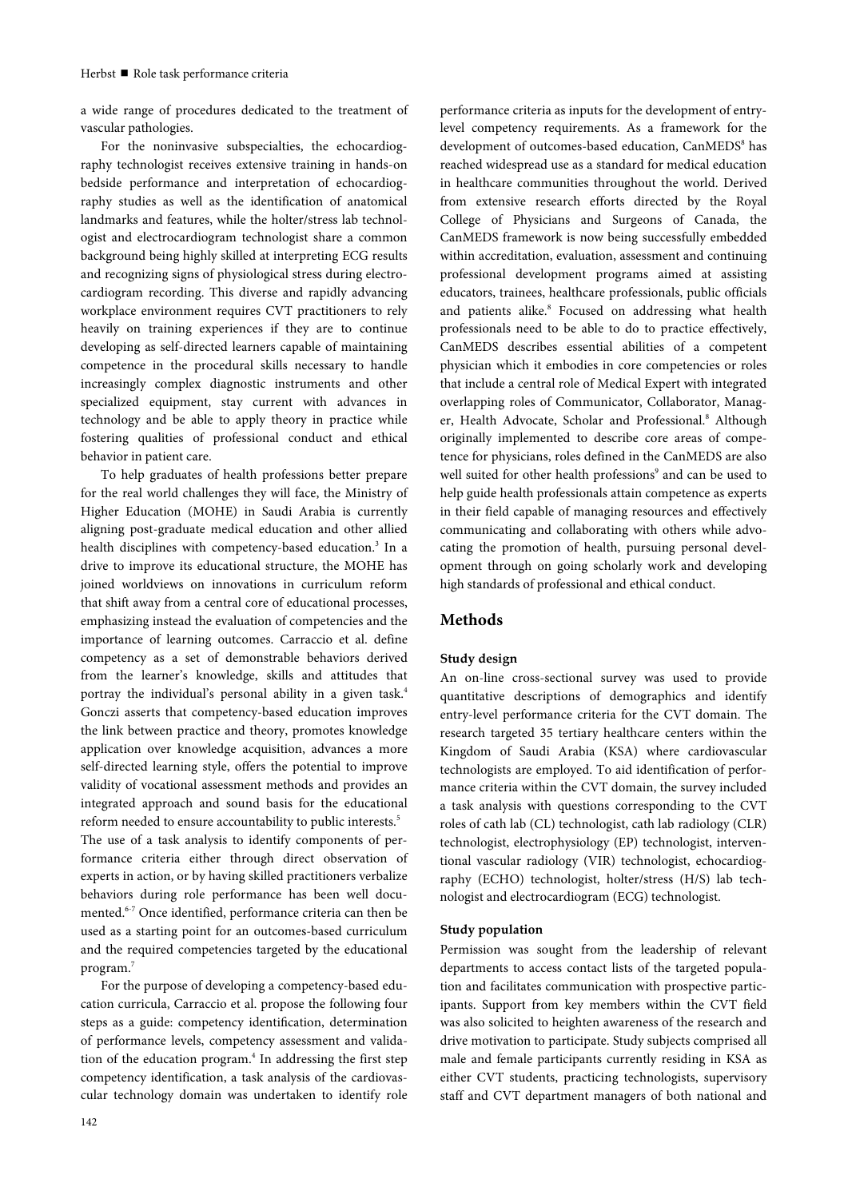a wide range of procedures dedicated to the treatment of vascular pathologies.

For the noninvasive subspecialties, the echocardiography technologist receives extensive training in hands-on bedside performance and interpretation of echocardiography studies as well as the identification of anatomical landmarks and features, while the holter/stress lab technologist and electrocardiogram technologist share a common background being highly skilled at interpreting ECG results and recognizing signs of physiological stress during electrocardiogram recording. This diverse and rapidly advancing workplace environment requires CVT practitioners to rely heavily on training experiences if they are to continue developing as self-directed learners capable of maintaining competence in the procedural skills necessary to handle increasingly complex diagnostic instruments and other specialized equipment, stay current with advances in technology and be able to apply theory in practice while fostering qualities of professional conduct and ethical behavior in patient care.

To help graduates of health professions better prepare for the real world challenges they will face, the Ministry of Higher Education (MOHE) in Saudi Arabia is currently aligning post-graduate medical education and other allied health disciplines with competency-based education.<sup>3</sup> In a drive to improve its educational structure, the MOHE has joined worldviews on innovations in curriculum reform that shift away from a central core of educational processes, emphasizing instead the evaluation of competencies and the importance of learning outcomes. Carraccio et al. define competency as a set of demonstrable behaviors derived from the learner's knowledge, skills and attitudes that portray the individual's personal ability in a given task.<sup>4</sup> Gonczi asserts that competency-based education improves the link between practice and theory, promotes knowledge application over knowledge acquisition, advances a more self-directed learning style, offers the potential to improve validity of vocational assessment methods and provides an integrated approach and sound basis for the educational reform needed to ensure accountability to public interests. 5 The use of a task analysis to identify components of performance criteria either through direct observation of experts in action, or by having skilled practitioners verbalize behaviors during role performance has been well documented.6-7 Once identified, performance criteria can then be used as a starting point for an outcomes-based curriculum and the required competencies targeted by the educational program.<sup>7</sup>

For the purpose of developing a competency-based education curricula, Carraccio et al. propose the following four steps as a guide: competency identification, determination of performance levels, competency assessment and validation of the education program.<sup>4</sup> In addressing the first step competency identification, a task analysis of the cardiovascular technology domain was undertaken to identify role

level competency requirements. As a framework for the development of outcomes-based education, CanMEDS<sup>8</sup> has reached widespread use as a standard for medical education in healthcare communities throughout the world. Derived from extensive research efforts directed by the Royal College of Physicians and Surgeons of Canada, the CanMEDS framework is now being successfully embedded within accreditation, evaluation, assessment and continuing professional development programs aimed at assisting educators, trainees, healthcare professionals, public officials and patients alike.<sup>8</sup> Focused on addressing what health professionals need to be able to do to practice effectively, CanMEDS describes essential abilities of a competent physician which it embodies in core competencies or roles that include a central role of Medical Expert with integrated overlapping roles of Communicator, Collaborator, Manager, Health Advocate, Scholar and Professional.<sup>8</sup> Although originally implemented to describe core areas of competence for physicians, roles defined in the CanMEDS are also well suited for other health professions<sup>9</sup> and can be used to help guide health professionals attain competence as experts in their field capable of managing resources and effectively communicating and collaborating with others while advocating the promotion of health, pursuing personal development through on going scholarly work and developing high standards of professional and ethical conduct.

performance criteria as inputs for the development of entry-

# **Methods**

# **Study design**

An on-line cross-sectional survey was used to provide quantitative descriptions of demographics and identify entry-level performance criteria for the CVT domain. The research targeted 35 tertiary healthcare centers within the Kingdom of Saudi Arabia (KSA) where cardiovascular technologists are employed. To aid identification of performance criteria within the CVT domain, the survey included a task analysis with questions corresponding to the CVT roles of cath lab (CL) technologist, cath lab radiology (CLR) technologist, electrophysiology (EP) technologist, interventional vascular radiology (VIR) technologist, echocardiography (ECHO) technologist, holter/stress (H/S) lab technologist and electrocardiogram (ECG) technologist.

### **Study population**

Permission was sought from the leadership of relevant departments to access contact lists of the targeted population and facilitates communication with prospective participants. Support from key members within the CVT field was also solicited to heighten awareness of the research and drive motivation to participate. Study subjects comprised all male and female participants currently residing in KSA as either CVT students, practicing technologists, supervisory staff and CVT department managers of both national and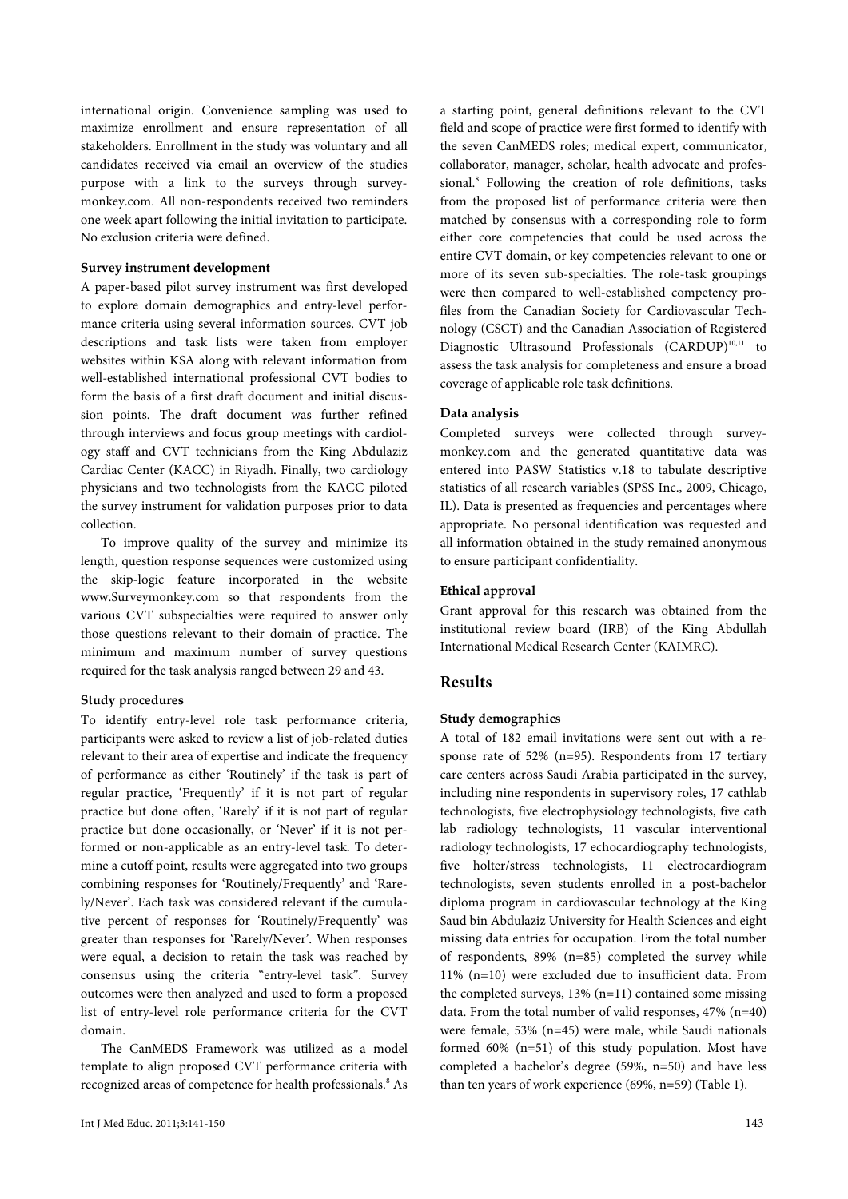international origin. Convenience sampling was used to maximize enrollment and ensure representation of all stakeholders. Enrollment in the study was voluntary and all candidates received via email an overview of the studies purpose with a link to the surveys through surveymonkey.com. All non-respondents received two reminders one week apart following the initial invitation to participate. No exclusion criteria were defined.

## **Survey instrument development**

A paper-based pilot survey instrument was first developed to explore domain demographics and entry-level performance criteria using several information sources. CVT job descriptions and task lists were taken from employer websites within KSA along with relevant information from well-established international professional CVT bodies to form the basis of a first draft document and initial discussion points. The draft document was further refined through interviews and focus group meetings with cardiology staff and CVT technicians from the King Abdulaziz Cardiac Center (KACC) in Riyadh. Finally, two cardiology physicians and two technologists from the KACC piloted the survey instrument for validation purposes prior to data collection.

To improve quality of the survey and minimize its length, question response sequences were customized using the skip-logic feature incorporated in the website www.Surveymonkey.com so that respondents from the various CVT subspecialties were required to answer only those questions relevant to their domain of practice. The minimum and maximum number of survey questions required for the task analysis ranged between 29 and 43.

# **Study procedures**

To identify entry-level role task performance criteria, participants were asked to review a list of job-related duties relevant to their area of expertise and indicate the frequency of performance as either 'Routinely' if the task is part of regular practice, 'Frequently' if it is not part of regular practice but done often, 'Rarely' if it is not part of regular practice but done occasionally, or 'Never' if it is not performed or non-applicable as an entry-level task. To determine a cutoff point, results were aggregated into two groups combining responses for 'Routinely/Frequently' and 'Rarely/Never'. Each task was considered relevant if the cumulative percent of responses for 'Routinely/Frequently' was greater than responses for 'Rarely/Never'. When responses were equal, a decision to retain the task was reached by consensus using the criteria "entry-level task". Survey outcomes were then analyzed and used to form a proposed list of entry-level role performance criteria for the CVT domain.

The CanMEDS Framework was utilized as a model template to align proposed CVT performance criteria with recognized areas of competence for health professionals.<sup>8</sup> As a starting point, general definitions relevant to the CVT field and scope of practice were first formed to identify with the seven CanMEDS roles; medical expert, communicator, collaborator, manager, scholar, health advocate and professional.<sup>8</sup> Following the creation of role definitions, tasks from the proposed list of performance criteria were then matched by consensus with a corresponding role to form either core competencies that could be used across the entire CVT domain, or key competencies relevant to one or more of its seven sub-specialties. The role-task groupings were then compared to well-established competency profiles from the Canadian Society for Cardiovascular Technology (CSCT) and the Canadian Association of Registered Diagnostic Ultrasound Professionals (CARDUP)<sup>10,11</sup> to assess the task analysis for completeness and ensure a broad coverage of applicable role task definitions.

#### **Data analysis**

Completed surveys were collected through surveymonkey.com and the generated quantitative data was entered into PASW Statistics v.18 to tabulate descriptive statistics of all research variables (SPSS Inc., 2009, Chicago, IL). Data is presented as frequencies and percentages where appropriate. No personal identification was requested and all information obtained in the study remained anonymous to ensure participant confidentiality.

#### **Ethical approval**

Grant approval for this research was obtained from the institutional review board (IRB) of the King Abdullah International Medical Research Center (KAIMRC).

# **Results**

#### **Study demographics**

A total of 182 email invitations were sent out with a response rate of 52% (n=95). Respondents from 17 tertiary care centers across Saudi Arabia participated in the survey, including nine respondents in supervisory roles, 17 cathlab technologists, five electrophysiology technologists, five cath lab radiology technologists, 11 vascular interventional radiology technologists, 17 echocardiography technologists, five holter/stress technologists, 11 electrocardiogram technologists, seven students enrolled in a post-bachelor diploma program in cardiovascular technology at the King Saud bin Abdulaziz University for Health Sciences and eight missing data entries for occupation. From the total number of respondents, 89% (n=85) completed the survey while 11% (n=10) were excluded due to insufficient data. From the completed surveys, 13% (n=11) contained some missing data. From the total number of valid responses, 47% (n=40) were female, 53% (n=45) were male, while Saudi nationals formed 60% (n=51) of this study population. Most have completed a bachelor's degree (59%, n=50) and have less than ten years of work experience (69%, n=59) (Table 1).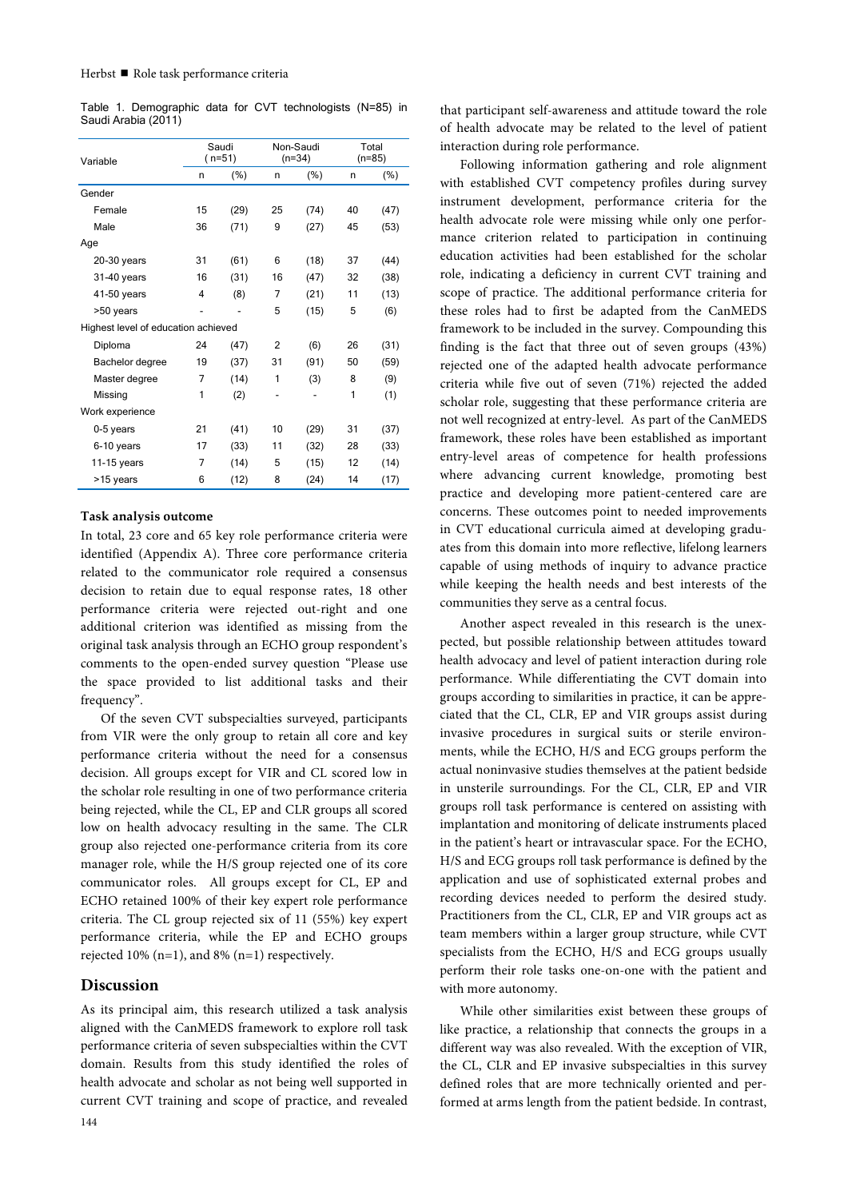| Table 1. Demographic data for CVT technologists (N=85) in |  |  |  |
|-----------------------------------------------------------|--|--|--|
| Saudi Arabia (2011)                                       |  |  |  |

| Variable                            |                | Saudi<br>$(n=51)$ |                          | Non-Saudi<br>$(n=34)$ |    | Total<br>$(n=85)$ |
|-------------------------------------|----------------|-------------------|--------------------------|-----------------------|----|-------------------|
|                                     | n              | (%)               | n                        | (% )                  | n  | $(\%)$            |
| Gender                              |                |                   |                          |                       |    |                   |
| Female                              | 15             | (29)              | 25                       | (74)                  | 40 | (47)              |
| Male                                | 36             | (71)              | 9                        | (27)                  | 45 | (53)              |
| Age                                 |                |                   |                          |                       |    |                   |
| $20-30$ years                       | 31             | (61)              | 6                        | (18)                  | 37 | (44)              |
| 31-40 years                         | 16             | (31)              | 16                       | (47)                  | 32 | (38)              |
| 41-50 years                         | 4              | (8)               | 7                        | (21)                  | 11 | (13)              |
| >50 years                           |                |                   | 5                        | (15)                  | 5  | (6)               |
| Highest level of education achieved |                |                   |                          |                       |    |                   |
| Diploma                             | 24             | (47)              | $\overline{2}$           | (6)                   | 26 | (31)              |
| Bachelor degree                     | 19             | (37)              | 31                       | (91)                  | 50 | (59)              |
| Master degree                       | $\overline{7}$ | (14)              | 1                        | (3)                   | 8  | (9)               |
| Missing                             | 1              | (2)               | $\overline{\phantom{0}}$ |                       | 1  | (1)               |
| Work experience                     |                |                   |                          |                       |    |                   |
| 0-5 years                           | 21             | (41)              | 10                       | (29)                  | 31 | (37)              |
| 6-10 years                          | 17             | (33)              | 11                       | (32)                  | 28 | (33)              |
| 11-15 years                         | 7              | (14)              | 5                        | (15)                  | 12 | (14)              |
| >15 years                           | 6              | (12)              | 8                        | (24)                  | 14 | (17)              |

#### **Task analysis outcome**

In total, 23 core and 65 key role performance criteria were identified (Appendix A). Three core performance criteria related to the communicator role required a consensus decision to retain due to equal response rates, 18 other performance criteria were rejected out-right and one additional criterion was identified as missing from the original task analysis through an ECHO group respondent's comments to the open-ended survey question "Please use the space provided to list additional tasks and their frequency".

Of the seven CVT subspecialties surveyed, participants from VIR were the only group to retain all core and key performance criteria without the need for a consensus decision. All groups except for VIR and CL scored low in the scholar role resulting in one of two performance criteria being rejected, while the CL, EP and CLR groups all scored low on health advocacy resulting in the same. The CLR group also rejected one-performance criteria from its core manager role, while the H/S group rejected one of its core communicator roles. All groups except for CL, EP and ECHO retained 100% of their key expert role performance criteria. The CL group rejected six of 11 (55%) key expert performance criteria, while the EP and ECHO groups rejected 10% (n=1), and 8% (n=1) respectively.

## **Discussion**

As its principal aim, this research utilized a task analysis aligned with the CanMEDS framework to explore roll task performance criteria of seven subspecialties within the CVT domain. Results from this study identified the roles of health advocate and scholar as not being well supported in current CVT training and scope of practice, and revealed

that participant self-awareness and attitude toward the role of health advocate may be related to the level of patient interaction during role performance.

Following information gathering and role alignment with established CVT competency profiles during survey instrument development, performance criteria for the health advocate role were missing while only one performance criterion related to participation in continuing education activities had been established for the scholar role, indicating a deficiency in current CVT training and scope of practice. The additional performance criteria for these roles had to first be adapted from the CanMEDS framework to be included in the survey. Compounding this finding is the fact that three out of seven groups (43%) rejected one of the adapted health advocate performance criteria while five out of seven (71%) rejected the added scholar role, suggesting that these performance criteria are not well recognized at entry-level. As part of the CanMEDS framework, these roles have been established as important entry-level areas of competence for health professions where advancing current knowledge, promoting best practice and developing more patient-centered care are concerns. These outcomes point to needed improvements in CVT educational curricula aimed at developing graduates from this domain into more reflective, lifelong learners capable of using methods of inquiry to advance practice while keeping the health needs and best interests of the communities they serve as a central focus.

Another aspect revealed in this research is the unexpected, but possible relationship between attitudes toward health advocacy and level of patient interaction during role performance. While differentiating the CVT domain into groups according to similarities in practice, it can be appreciated that the CL, CLR, EP and VIR groups assist during invasive procedures in surgical suits or sterile environments, while the ECHO, H/S and ECG groups perform the actual noninvasive studies themselves at the patient bedside in unsterile surroundings. For the CL, CLR, EP and VIR groups roll task performance is centered on assisting with implantation and monitoring of delicate instruments placed in the patient's heart or intravascular space. For the ECHO, H/S and ECG groups roll task performance is defined by the application and use of sophisticated external probes and recording devices needed to perform the desired study. Practitioners from the CL, CLR, EP and VIR groups act as team members within a larger group structure, while CVT specialists from the ECHO, H/S and ECG groups usually perform their role tasks one-on-one with the patient and with more autonomy.

While other similarities exist between these groups of like practice, a relationship that connects the groups in a different way was also revealed. With the exception of VIR, the CL, CLR and EP invasive subspecialties in this survey defined roles that are more technically oriented and performed at arms length from the patient bedside. In contrast,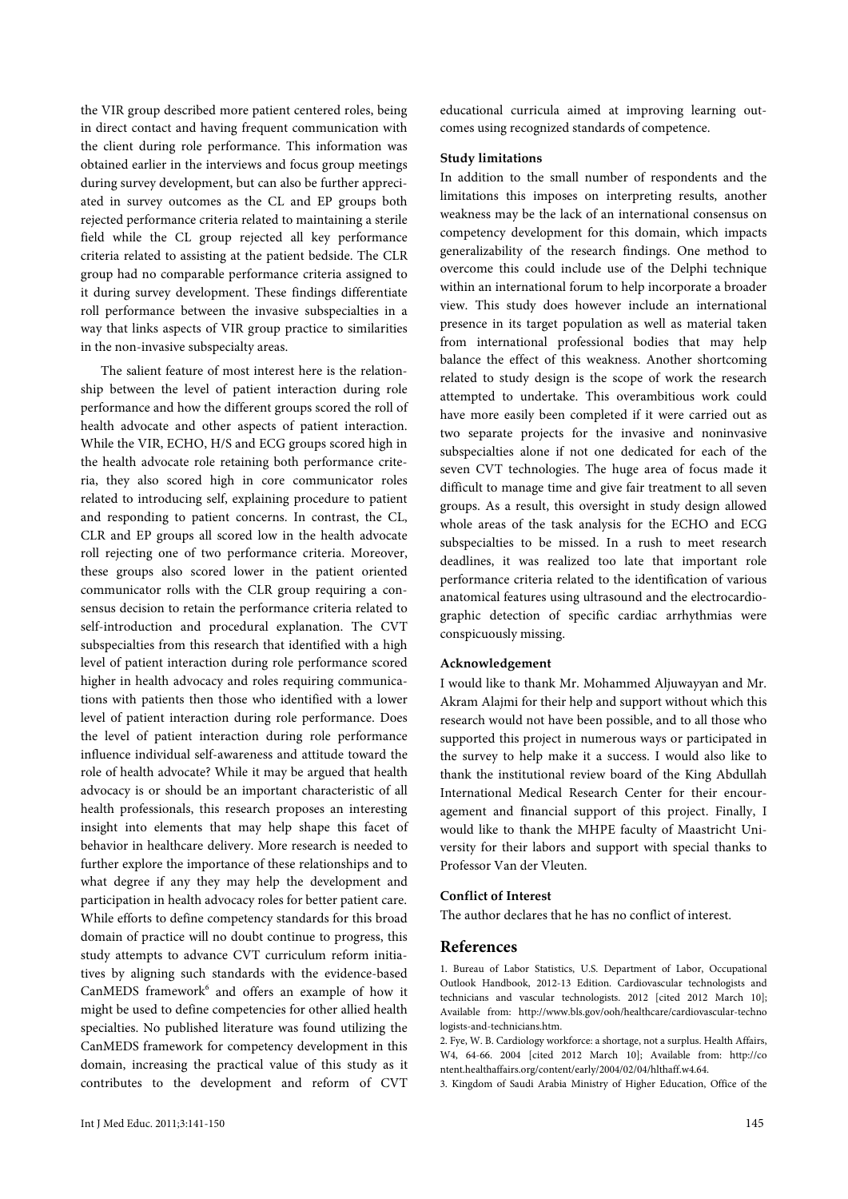the VIR group described more patient centered roles, being in direct contact and having frequent communication with the client during role performance. This information was obtained earlier in the interviews and focus group meetings during survey development, but can also be further appreciated in survey outcomes as the CL and EP groups both rejected performance criteria related to maintaining a sterile field while the CL group rejected all key performance criteria related to assisting at the patient bedside. The CLR group had no comparable performance criteria assigned to it during survey development. These findings differentiate roll performance between the invasive subspecialties in a way that links aspects of VIR group practice to similarities in the non-invasive subspecialty areas.

The salient feature of most interest here is the relationship between the level of patient interaction during role performance and how the different groups scored the roll of health advocate and other aspects of patient interaction. While the VIR, ECHO, H/S and ECG groups scored high in the health advocate role retaining both performance criteria, they also scored high in core communicator roles related to introducing self, explaining procedure to patient and responding to patient concerns. In contrast, the CL, CLR and EP groups all scored low in the health advocate roll rejecting one of two performance criteria. Moreover, these groups also scored lower in the patient oriented communicator rolls with the CLR group requiring a consensus decision to retain the performance criteria related to self-introduction and procedural explanation. The CVT subspecialties from this research that identified with a high level of patient interaction during role performance scored higher in health advocacy and roles requiring communications with patients then those who identified with a lower level of patient interaction during role performance. Does the level of patient interaction during role performance influence individual self-awareness and attitude toward the role of health advocate? While it may be argued that health advocacy is or should be an important characteristic of all health professionals, this research proposes an interesting insight into elements that may help shape this facet of behavior in healthcare delivery. More research is needed to further explore the importance of these relationships and to what degree if any they may help the development and participation in health advocacy roles for better patient care. While efforts to define competency standards for this broad domain of practice will no doubt continue to progress, this study attempts to advance CVT curriculum reform initiatives by aligning such standards with the evidence-based  $CanMEDS$  framework $6$  and offers an example of how it might be used to define competencies for other allied health specialties. No published literature was found utilizing the CanMEDS framework for competency development in this domain, increasing the practical value of this study as it contributes to the development and reform of CVT

educational curricula aimed at improving learning outcomes using recognized standards of competence.

#### **Study limitations**

In addition to the small number of respondents and the limitations this imposes on interpreting results, another weakness may be the lack of an international consensus on competency development for this domain, which impacts generalizability of the research findings. One method to overcome this could include use of the Delphi technique within an international forum to help incorporate a broader view. This study does however include an international presence in its target population as well as material taken from international professional bodies that may help balance the effect of this weakness. Another shortcoming related to study design is the scope of work the research attempted to undertake. This overambitious work could have more easily been completed if it were carried out as two separate projects for the invasive and noninvasive subspecialties alone if not one dedicated for each of the seven CVT technologies. The huge area of focus made it difficult to manage time and give fair treatment to all seven groups. As a result, this oversight in study design allowed whole areas of the task analysis for the ECHO and ECG subspecialties to be missed. In a rush to meet research deadlines, it was realized too late that important role performance criteria related to the identification of various anatomical features using ultrasound and the electrocardiographic detection of specific cardiac arrhythmias were conspicuously missing.

# **Acknowledgement**

I would like to thank Mr. Mohammed Aljuwayyan and Mr. Akram Alajmi for their help and support without which this research would not have been possible, and to all those who supported this project in numerous ways or participated in the survey to help make it a success. I would also like to thank the institutional review board of the King Abdullah International Medical Research Center for their encouragement and financial support of this project. Finally, I would like to thank the MHPE faculty of Maastricht University for their labors and support with special thanks to Professor Van der Vleuten.

# **Conflict of Interest**

The author declares that he has no conflict of interest.

#### **References**

1. Bureau of Labor Statistics, U.S. Department of Labor, Occupational Outlook Handbook, 2012-13 Edition. Cardiovascular technologists and technicians and vascular technologists. 2012 [cited 2012 March 10]; Available from: http://www.bls.gov/ooh/healthcare/cardiovascular-techno logists-and-technicians.htm.

2. Fye, W. B. Cardiology workforce: a shortage, not a surplus. Health Affairs, W4, 64-66. 2004 [cited 2012 March 10]; Available from: http://co ntent.healthaffairs.org/content/early/2004/02/04/hlthaff.w4.64.

3. Kingdom of Saudi Arabia Ministry of Higher Education, Office of the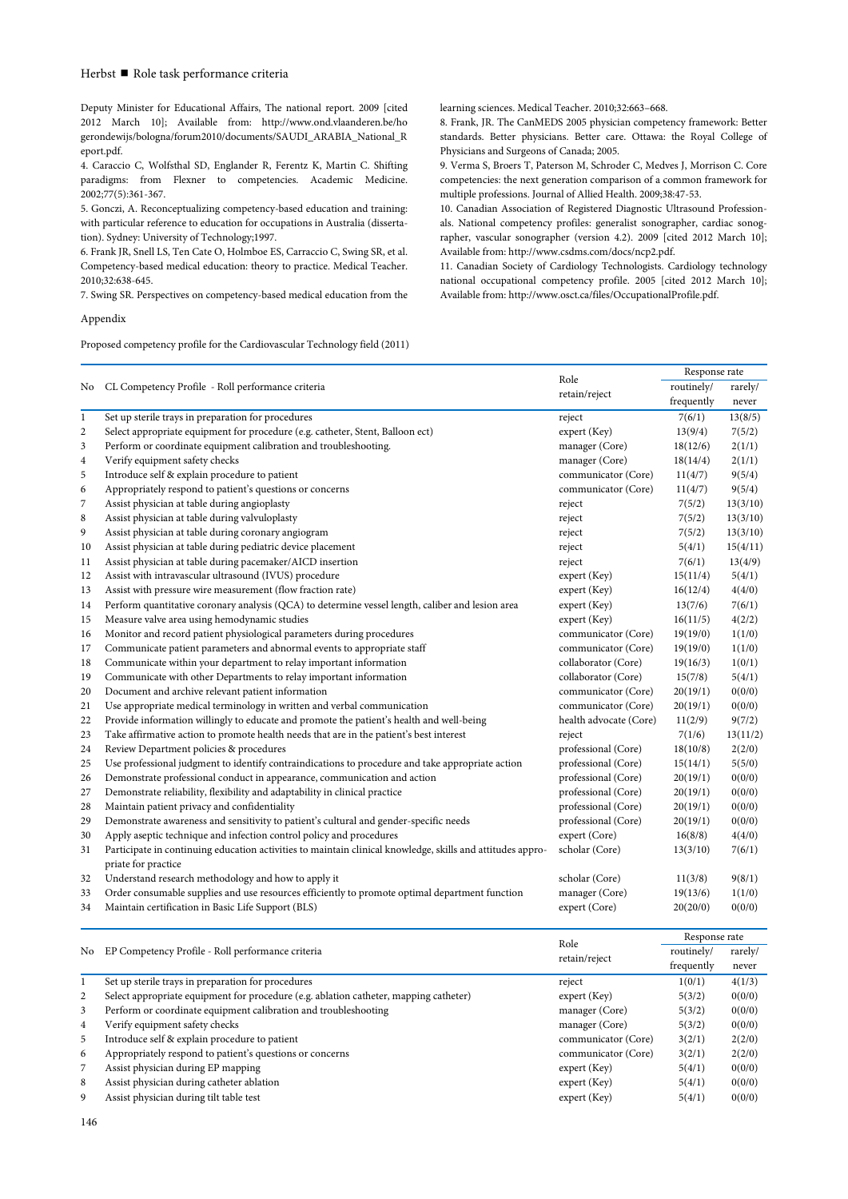## Herbst Role task performance criteria

Deputy Minister for Educational Affairs, The national report. 2009 [cited 2012 March 10]; Available from: http://www.ond.vlaanderen.be/ho gerondewijs/bologna/forum2010/documents/SAUDI\_ARABIA\_National\_R eport.pdf.

4. Caraccio C, Wolfsthal SD, Englander R, Ferentz K, Martin C. Shifting paradigms: from Flexner to competencies. Academic Medicine. 2002;77(5):361-367.

5. Gonczi, A. Reconceptualizing competency-based education and training: with particular reference to education for occupations in Australia (dissertation). Sydney: University of Technology;1997.

6. Frank JR, Snell LS, Ten Cate O, Holmboe ES, Carraccio C, Swing SR, et al. Competency-based medical education: theory to practice. Medical Teacher. 2010;32:638-645.

7. Swing SR. Perspectives on competency-based medical education from the

Appendix

Proposed competency profile for the Cardiovascular Technology field (2011)

learning sciences. Medical Teacher. 2010;32:663–668.

8. Frank, JR. The CanMEDS 2005 physician competency framework: Better standards. Better physicians. Better care. Ottawa: the Royal College of Physicians and Surgeons of Canada; 2005.

9. Verma S, Broers T, Paterson M, Schroder C, Medves J, Morrison C. Core competencies: the next generation comparison of a common framework for multiple professions. Journal of Allied Health. 2009;38:47-53.

10. Canadian Association of Registered Diagnostic Ultrasound Professionals. National competency profiles: generalist sonographer, cardiac sonographer, vascular sonographer (version 4.2). 2009 [cited 2012 March 10]; Available from: http://www.csdms.com/docs/ncp2.pdf.

11. Canadian Society of Cardiology Technologists. Cardiology technology national occupational competency profile. 2005 [cited 2012 March 10]; Available from: http://www.osct.ca/files/OccupationalProfile.pdf.

|                |                                                                                                            |                        | Response rate |          |  |
|----------------|------------------------------------------------------------------------------------------------------------|------------------------|---------------|----------|--|
| No             | CL Competency Profile - Roll performance criteria                                                          | Role                   | routinely/    | rarely/  |  |
|                |                                                                                                            | retain/reject          | frequently    | never    |  |
| $\mathbf{1}$   | Set up sterile trays in preparation for procedures                                                         | reject                 | 7(6/1)        | 13(8/5)  |  |
| $\overline{c}$ | Select appropriate equipment for procedure (e.g. catheter, Stent, Balloon ect)                             | expert (Key)           | 13(9/4)       | 7(5/2)   |  |
| 3              | Perform or coordinate equipment calibration and troubleshooting.                                           | manager (Core)         | 18(12/6)      | 2(1/1)   |  |
| $\overline{4}$ | Verify equipment safety checks                                                                             | manager (Core)         | 18(14/4)      | 2(1/1)   |  |
| 5              | Introduce self & explain procedure to patient                                                              | communicator (Core)    | 11(4/7)       | 9(5/4)   |  |
| 6              | Appropriately respond to patient's questions or concerns                                                   | communicator (Core)    | 11(4/7)       | 9(5/4)   |  |
| 7              | Assist physician at table during angioplasty                                                               | reject                 | 7(5/2)        | 13(3/10) |  |
| 8              | Assist physician at table during valvuloplasty                                                             | reject                 | 7(5/2)        | 13(3/10) |  |
| 9              | Assist physician at table during coronary angiogram                                                        | reject                 | 7(5/2)        | 13(3/10) |  |
| 10             | Assist physician at table during pediatric device placement                                                | reject                 | 5(4/1)        | 15(4/11) |  |
| 11             | Assist physician at table during pacemaker/AICD insertion                                                  | reject                 | 7(6/1)        | 13(4/9)  |  |
| 12             | Assist with intravascular ultrasound (IVUS) procedure                                                      | expert (Key)           | 15(11/4)      | 5(4/1)   |  |
| 13             | Assist with pressure wire measurement (flow fraction rate)                                                 | expert (Key)           | 16(12/4)      | 4(4/0)   |  |
| 14             | Perform quantitative coronary analysis (QCA) to determine vessel length, caliber and lesion area           | expert (Key)           | 13(7/6)       | 7(6/1)   |  |
| 15             | Measure valve area using hemodynamic studies                                                               | expert (Key)           | 16(11/5)      | 4(2/2)   |  |
| 16             | Monitor and record patient physiological parameters during procedures                                      | communicator (Core)    | 19(19/0)      | 1(1/0)   |  |
| 17             | Communicate patient parameters and abnormal events to appropriate staff                                    | communicator (Core)    | 19(19/0)      | 1(1/0)   |  |
| 18             | Communicate within your department to relay important information                                          | collaborator (Core)    | 19(16/3)      | 1(0/1)   |  |
| 19             | Communicate with other Departments to relay important information                                          | collaborator (Core)    | 15(7/8)       | 5(4/1)   |  |
| 20             | Document and archive relevant patient information                                                          | communicator (Core)    | 20(19/1)      | 0(0/0)   |  |
| 21             | Use appropriate medical terminology in written and verbal communication                                    | communicator (Core)    | 20(19/1)      | 0(0/0)   |  |
| 22             | Provide information willingly to educate and promote the patient's health and well-being                   | health advocate (Core) | 11(2/9)       | 9(7/2)   |  |
| 23             | Take affirmative action to promote health needs that are in the patient's best interest                    | reject                 | 7(1/6)        | 13(11/2) |  |
| 24             | Review Department policies & procedures                                                                    | professional (Core)    | 18(10/8)      | 2(2/0)   |  |
| 25             | Use professional judgment to identify contraindications to procedure and take appropriate action           | professional (Core)    | 15(14/1)      | 5(5/0)   |  |
| 26             | Demonstrate professional conduct in appearance, communication and action                                   | professional (Core)    | 20(19/1)      | 0(0/0)   |  |
| 27             | Demonstrate reliability, flexibility and adaptability in clinical practice                                 | professional (Core)    | 20(19/1)      | 0(0/0)   |  |
| 28             | Maintain patient privacy and confidentiality                                                               | professional (Core)    | 20(19/1)      | 0(0/0)   |  |
| 29             | Demonstrate awareness and sensitivity to patient's cultural and gender-specific needs                      | professional (Core)    | 20(19/1)      | 0(0/0)   |  |
| 30             | Apply aseptic technique and infection control policy and procedures                                        | expert (Core)          | 16(8/8)       | 4(4/0)   |  |
| 31             | Participate in continuing education activities to maintain clinical knowledge, skills and attitudes appro- | scholar (Core)         | 13(3/10)      | 7(6/1)   |  |
|                | priate for practice                                                                                        |                        |               |          |  |
| 32             | Understand research methodology and how to apply it                                                        | scholar (Core)         | 11(3/8)       | 9(8/1)   |  |
| 33             | Order consumable supplies and use resources efficiently to promote optimal department function             | manager (Core)         | 19(13/6)      | 1(1/0)   |  |
| 34             | Maintain certification in Basic Life Support (BLS)                                                         | expert (Core)          | 20(20/0)      | 0(0/0)   |  |
|                |                                                                                                            |                        | Response rate |          |  |
|                | No EP Competency Profile - Roll performance criteria                                                       | Role                   | routinely/    | rarely/  |  |
|                |                                                                                                            | retain/reject          | frequently    | never    |  |
| $\mathbf{1}$   | Set up sterile trays in preparation for procedures                                                         | reject                 | 1(0/1)        | 4(1/3)   |  |
| $\overline{c}$ | Select appropriate equipment for procedure (e.g. ablation catheter, mapping catheter)                      | expert (Key)           | 5(3/2)        | 0(0/0)   |  |
| 3              | Perform or coordinate equipment calibration and troubleshooting                                            | manager (Core)         | 5(3/2)        | 0(0/0)   |  |
| $\overline{4}$ | Verify equipment safety checks                                                                             | manager (Core)         | 5(3/2)        | 0(0/0)   |  |
| 5              | Introduce self & explain procedure to patient                                                              | communicator (Core)    | 3(2/1)        | 2(2/0)   |  |
| 6              | Appropriately respond to patient's questions or concerns                                                   | communicator (Core)    | 3(2/1)        | 2(2/0)   |  |
| 7              | Assist physician during EP mapping                                                                         | expert (Key)           | 5(4/1)        | 0(0/0)   |  |
| 8              | Assist physician during catheter ablation                                                                  | expert (Key)           | 5(4/1)        | 0(0/0)   |  |
| 9              | Assist physician during tilt table test                                                                    | expert (Key)           | 5(4/1)        | 0(0/0)   |  |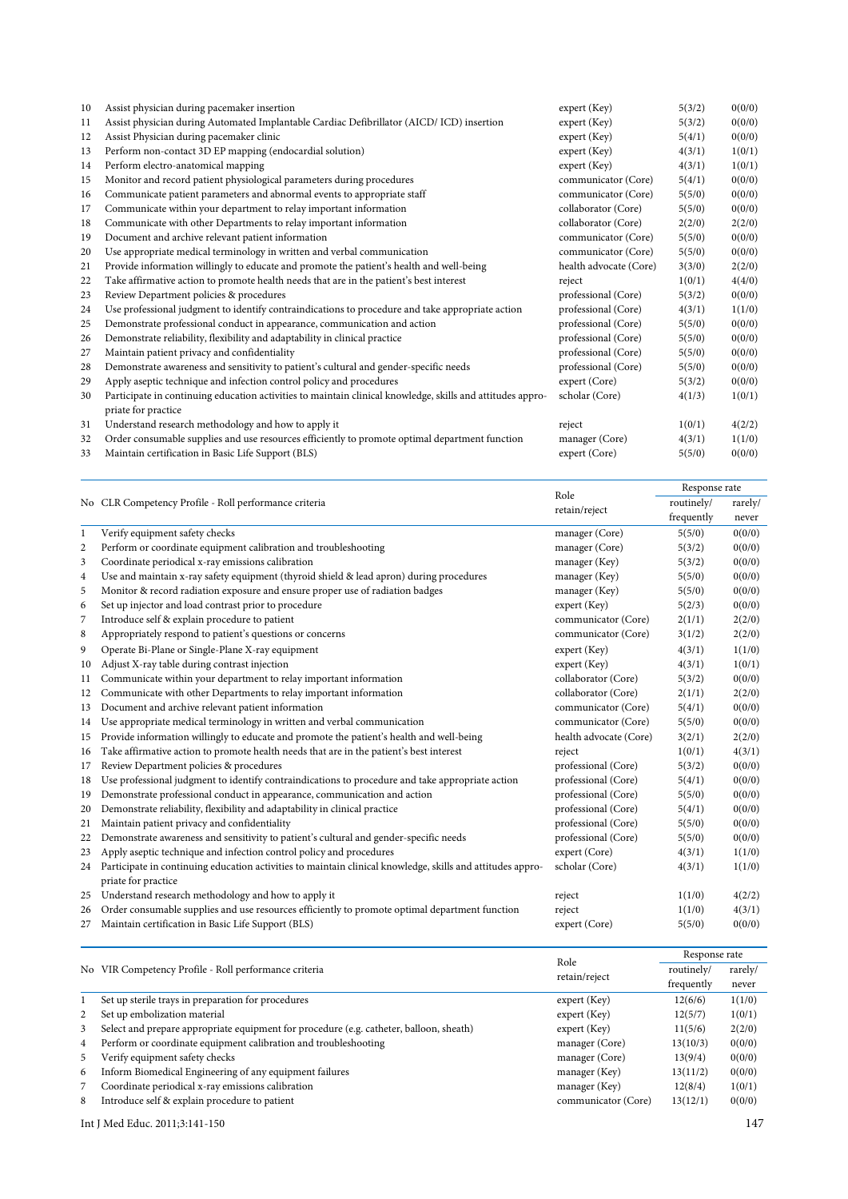| 10 | Assist physician during pacemaker insertion                                                                | expert (Key)           | 5(3/2) | 0(0/0) |
|----|------------------------------------------------------------------------------------------------------------|------------------------|--------|--------|
| 11 | Assist physician during Automated Implantable Cardiac Defibrillator (AICD/ ICD) insertion                  | expert (Key)           | 5(3/2) | 0(0/0) |
| 12 | Assist Physician during pacemaker clinic                                                                   | expert (Key)           | 5(4/1) | 0(0/0) |
| 13 | Perform non-contact 3D EP mapping (endocardial solution)                                                   | expert (Key)           | 4(3/1) | 1(0/1) |
| 14 | Perform electro-anatomical mapping                                                                         | expert (Key)           | 4(3/1) | 1(0/1) |
| 15 | Monitor and record patient physiological parameters during procedures                                      | communicator (Core)    | 5(4/1) | 0(0/0) |
| 16 | Communicate patient parameters and abnormal events to appropriate staff                                    | communicator (Core)    | 5(5/0) | 0(0/0) |
| 17 | Communicate within your department to relay important information                                          | collaborator (Core)    | 5(5/0) | 0(0/0) |
| 18 | Communicate with other Departments to relay important information                                          | collaborator (Core)    | 2(2/0) | 2(2/0) |
| 19 | Document and archive relevant patient information                                                          | communicator (Core)    | 5(5/0) | 0(0/0) |
| 20 | Use appropriate medical terminology in written and verbal communication                                    | communicator (Core)    | 5(5/0) | 0(0/0) |
| 21 | Provide information willingly to educate and promote the patient's health and well-being                   | health advocate (Core) | 3(3/0) | 2(2/0) |
| 22 | Take affirmative action to promote health needs that are in the patient's best interest                    | reject                 | 1(0/1) | 4(4/0) |
| 23 | Review Department policies & procedures                                                                    | professional (Core)    | 5(3/2) | 0(0/0) |
| 24 | Use professional judgment to identify contraindications to procedure and take appropriate action           | professional (Core)    | 4(3/1) | 1(1/0) |
| 25 | Demonstrate professional conduct in appearance, communication and action                                   | professional (Core)    | 5(5/0) | 0(0/0) |
| 26 | Demonstrate reliability, flexibility and adaptability in clinical practice                                 | professional (Core)    | 5(5/0) | 0(0/0) |
| 27 | Maintain patient privacy and confidentiality                                                               | professional (Core)    | 5(5/0) | 0(0/0) |
| 28 | Demonstrate awareness and sensitivity to patient's cultural and gender-specific needs                      | professional (Core)    | 5(5/0) | 0(0/0) |
| 29 | Apply aseptic technique and infection control policy and procedures                                        | expert (Core)          | 5(3/2) | 0(0/0) |
| 30 | Participate in continuing education activities to maintain clinical knowledge, skills and attitudes appro- | scholar (Core)         | 4(1/3) | 1(0/1) |
|    | priate for practice                                                                                        |                        |        |        |
| 31 | Understand research methodology and how to apply it                                                        | reject                 | 1(0/1) | 4(2/2) |
| 32 | Order consumable supplies and use resources efficiently to promote optimal department function             | manager (Core)         | 4(3/1) | 1(1/0) |
| 33 | Maintain certification in Basic Life Support (BLS)                                                         | expert (Core)          | 5(5/0) | 0(0/0) |

|                | No CLR Competency Profile - Roll performance criteria                                                      | Role                   | Response rate                                  |         |  |
|----------------|------------------------------------------------------------------------------------------------------------|------------------------|------------------------------------------------|---------|--|
|                |                                                                                                            | retain/reject          | routinely/                                     | rarely/ |  |
|                |                                                                                                            |                        | frequently                                     | never   |  |
| $\mathbf{1}$   | Verify equipment safety checks                                                                             | manager (Core)         | 5(5/0)                                         | 0(0/0)  |  |
| $\overline{c}$ | Perform or coordinate equipment calibration and troubleshooting                                            | manager (Core)         | 5(3/2)                                         | 0(0/0)  |  |
| 3              | Coordinate periodical x-ray emissions calibration                                                          | manager (Key)          | 5(3/2)                                         | 0(0/0)  |  |
| 4              | Use and maintain x-ray safety equipment (thyroid shield & lead apron) during procedures                    | manager (Key)          | 5(5/0)                                         | 0(0/0)  |  |
| 5              | Monitor & record radiation exposure and ensure proper use of radiation badges                              | manager (Key)          | 5(5/0)                                         | 0(0/0)  |  |
| 6              | Set up injector and load contrast prior to procedure                                                       | expert (Key)           | 5(2/3)                                         | 0(0/0)  |  |
| 7              | Introduce self & explain procedure to patient                                                              | communicator (Core)    | 2(1/1)                                         | 2(2/0)  |  |
| 8              | Appropriately respond to patient's questions or concerns                                                   | communicator (Core)    | 3(1/2)                                         | 2(2/0)  |  |
| 9              | Operate Bi-Plane or Single-Plane X-ray equipment                                                           | expert (Key)           | 4(3/1)                                         | 1(1/0)  |  |
| 10             | Adjust X-ray table during contrast injection                                                               | expert (Key)           | 4(3/1)                                         | 1(0/1)  |  |
| 11             | Communicate within your department to relay important information                                          | collaborator (Core)    | 5(3/2)                                         | 0(0/0)  |  |
| 12             | Communicate with other Departments to relay important information                                          | collaborator (Core)    | 2(1/1)                                         | 2(2/0)  |  |
| 13             | Document and archive relevant patient information                                                          | communicator (Core)    | 5(4/1)                                         | 0(0/0)  |  |
| 14             | Use appropriate medical terminology in written and verbal communication                                    | communicator (Core)    | 5(5/0)                                         | 0(0/0)  |  |
| 15             | Provide information willingly to educate and promote the patient's health and well-being                   | health advocate (Core) | 3(2/1)                                         | 2(2/0)  |  |
| 16             | Take affirmative action to promote health needs that are in the patient's best interest                    | reject                 | 1(0/1)                                         | 4(3/1)  |  |
| 17             | Review Department policies & procedures                                                                    | professional (Core)    | 5(3/2)                                         | 0(0/0)  |  |
| 18             | Use professional judgment to identify contraindications to procedure and take appropriate action           | professional (Core)    | 5(4/1)                                         | 0(0/0)  |  |
| 19             | Demonstrate professional conduct in appearance, communication and action                                   | professional (Core)    | 5(5/0)                                         | 0(0/0)  |  |
| 20             | Demonstrate reliability, flexibility and adaptability in clinical practice                                 | professional (Core)    | 5(4/1)                                         | 0(0/0)  |  |
| 21             | Maintain patient privacy and confidentiality                                                               | professional (Core)    | 5(5/0)                                         | 0(0/0)  |  |
| 22             | Demonstrate awareness and sensitivity to patient's cultural and gender-specific needs                      | professional (Core)    | 5(5/0)                                         | 0(0/0)  |  |
| 23             | Apply aseptic technique and infection control policy and procedures                                        | expert (Core)          | 4(3/1)                                         | 1(1/0)  |  |
| 24             | Participate in continuing education activities to maintain clinical knowledge, skills and attitudes appro- | scholar (Core)         | 4(3/1)                                         | 1(1/0)  |  |
|                | priate for practice                                                                                        |                        |                                                |         |  |
| 25             | Understand research methodology and how to apply it                                                        | reject                 | 1(1/0)                                         | 4(2/2)  |  |
| 26             | Order consumable supplies and use resources efficiently to promote optimal department function             | reject                 | 1(1/0)                                         | 4(3/1)  |  |
| 27             | Maintain certification in Basic Life Support (BLS)                                                         | expert (Core)          | 5(5/0)                                         | 0(0/0)  |  |
|                |                                                                                                            |                        | $\mathbf{D}$ and $\mathbf{D}$ and $\mathbf{D}$ |         |  |

|   |                                                                                         | Role                | Response rate |         |
|---|-----------------------------------------------------------------------------------------|---------------------|---------------|---------|
|   | No VIR Competency Profile - Roll performance criteria                                   | retain/reject       | routinely/    | rarely/ |
|   |                                                                                         |                     | frequently    | never   |
|   | Set up sterile trays in preparation for procedures                                      | expert (Key)        | 12(6/6)       | 1(1/0)  |
| 2 | Set up embolization material                                                            | expert (Key)        | 12(5/7)       | 1(0/1)  |
| 3 | Select and prepare appropriate equipment for procedure (e.g. catheter, balloon, sheath) | expert (Key)        | 11(5/6)       | 2(2/0)  |
| 4 | Perform or coordinate equipment calibration and troubleshooting                         | manager (Core)      | 13(10/3)      | 0(0/0)  |
| 5 | Verify equipment safety checks                                                          | manager (Core)      | 13(9/4)       | 0(0/0)  |
| 6 | Inform Biomedical Engineering of any equipment failures                                 | manager (Key)       | 13(11/2)      | 0(0/0)  |
|   | Coordinate periodical x-ray emissions calibration                                       | manager (Key)       | 12(8/4)       | 1(0/1)  |
| 8 | Introduce self & explain procedure to patient                                           | communicator (Core) | 13(12/1)      | 0(0/0)  |

Int J Med Educ. 2011;3:141-150 147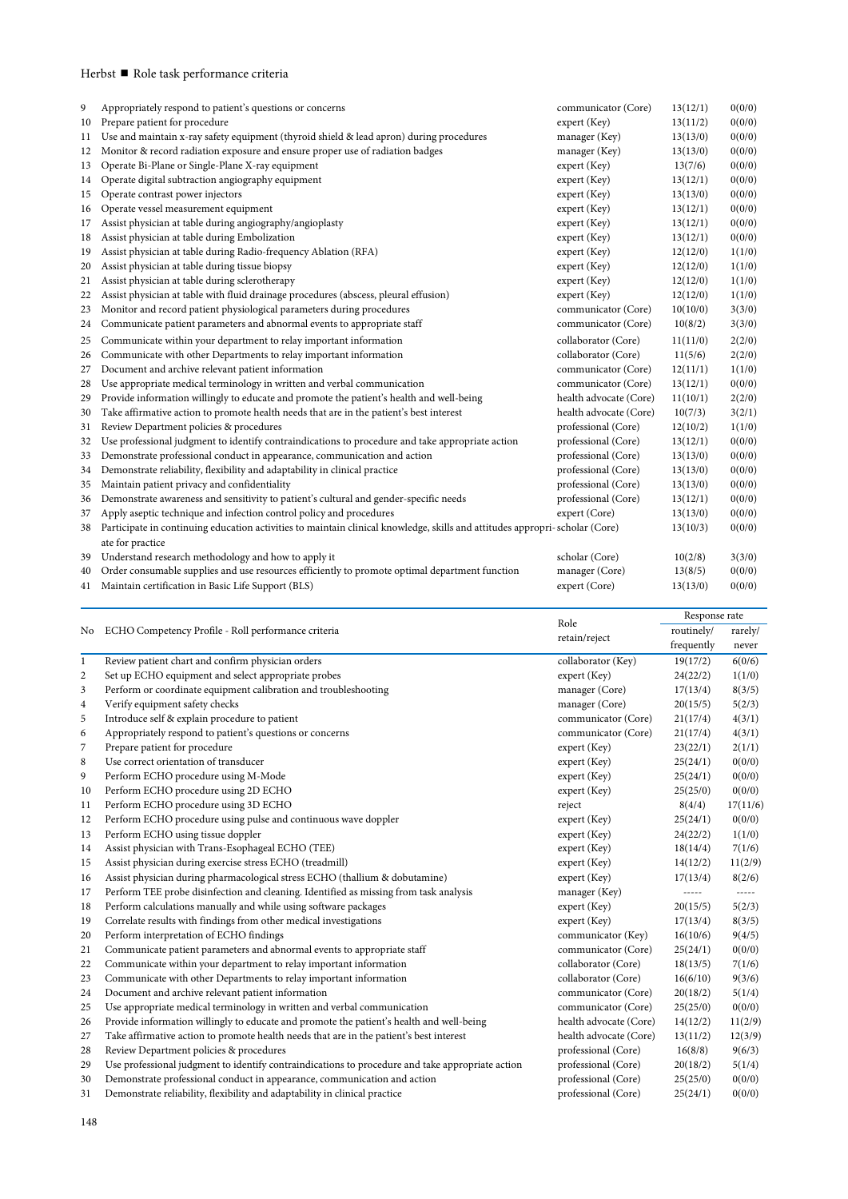# Herbst ■ Role task performance criteria

| 9  | Appropriately respond to patient's questions or concerns                                                                                        | communicator (Core)    | 13(12/1) | 0(0/0) |
|----|-------------------------------------------------------------------------------------------------------------------------------------------------|------------------------|----------|--------|
| 10 | Prepare patient for procedure                                                                                                                   | expert (Key)           | 13(11/2) | 0(0/0) |
| 11 | Use and maintain x-ray safety equipment (thyroid shield & lead apron) during procedures                                                         | manager (Key)          | 13(13/0) | 0(0/0) |
| 12 | Monitor & record radiation exposure and ensure proper use of radiation badges                                                                   | manager (Key)          | 13(13/0) | 0(0/0) |
| 13 | Operate Bi-Plane or Single-Plane X-ray equipment                                                                                                | expert (Key)           | 13(7/6)  | 0(0/0) |
| 14 | Operate digital subtraction angiography equipment                                                                                               | expert (Key)           | 13(12/1) | 0(0/0) |
| 15 | Operate contrast power injectors                                                                                                                | expert (Key)           | 13(13/0) | 0(0/0) |
| 16 | Operate vessel measurement equipment                                                                                                            | expert (Key)           | 13(12/1) | 0(0/0) |
| 17 | Assist physician at table during angiography/angioplasty                                                                                        | expert (Key)           | 13(12/1) | 0(0/0) |
| 18 | Assist physician at table during Embolization                                                                                                   | expert (Key)           | 13(12/1) | 0(0/0) |
| 19 | Assist physician at table during Radio-frequency Ablation (RFA)                                                                                 | expert (Key)           | 12(12/0) | 1(1/0) |
| 20 | Assist physician at table during tissue biopsy                                                                                                  | expert (Key)           | 12(12/0) | 1(1/0) |
| 21 | Assist physician at table during sclerotherapy                                                                                                  | expert (Key)           | 12(12/0) | 1(1/0) |
| 22 | Assist physician at table with fluid drainage procedures (abscess, pleural effusion)                                                            | expert (Key)           | 12(12/0) | 1(1/0) |
| 23 | Monitor and record patient physiological parameters during procedures                                                                           | communicator (Core)    | 10(10/0) | 3(3/0) |
| 24 | Communicate patient parameters and abnormal events to appropriate staff                                                                         | communicator (Core)    | 10(8/2)  | 3(3/0) |
| 25 | Communicate within your department to relay important information                                                                               | collaborator (Core)    | 11(11/0) | 2(2/0) |
| 26 | Communicate with other Departments to relay important information                                                                               | collaborator (Core)    | 11(5/6)  | 2(2/0) |
| 27 | Document and archive relevant patient information                                                                                               | communicator (Core)    | 12(11/1) | 1(1/0) |
| 28 | Use appropriate medical terminology in written and verbal communication                                                                         | communicator (Core)    | 13(12/1) | 0(0/0) |
| 29 | Provide information willingly to educate and promote the patient's health and well-being                                                        | health advocate (Core) | 11(10/1) | 2(2/0) |
| 30 | Take affirmative action to promote health needs that are in the patient's best interest                                                         | health advocate (Core) | 10(7/3)  | 3(2/1) |
| 31 | Review Department policies & procedures                                                                                                         | professional (Core)    | 12(10/2) | 1(1/0) |
| 32 | Use professional judgment to identify contraindications to procedure and take appropriate action                                                | professional (Core)    | 13(12/1) | 0(0/0) |
| 33 | Demonstrate professional conduct in appearance, communication and action                                                                        | professional (Core)    | 13(13/0) | 0(0/0) |
| 34 | Demonstrate reliability, flexibility and adaptability in clinical practice                                                                      | professional (Core)    | 13(13/0) | 0(0/0) |
| 35 | Maintain patient privacy and confidentiality                                                                                                    | professional (Core)    | 13(13/0) | 0(0/0) |
| 36 | Demonstrate awareness and sensitivity to patient's cultural and gender-specific needs                                                           | professional (Core)    | 13(12/1) | 0(0/0) |
| 37 | Apply aseptic technique and infection control policy and procedures                                                                             | expert (Core)          | 13(13/0) | 0(0/0) |
| 38 | Participate in continuing education activities to maintain clinical knowledge, skills and attitudes appropri-scholar (Core)<br>ate for practice |                        | 13(10/3) | 0(0/0) |
| 39 | Understand research methodology and how to apply it                                                                                             | scholar (Core)         | 10(2/8)  | 3(3/0) |
| 40 | Order consumable supplies and use resources efficiently to promote optimal department function                                                  | manager (Core)         | 13(8/5)  | 0(0/0) |
| 41 | Maintain certification in Basic Life Support (BLS)                                                                                              | expert (Core)          | 13(13/0) | 0(0/0) |
|    |                                                                                                                                                 |                        |          |        |

|                |                                                                                                  | Role                   | Response rate |               |  |
|----------------|--------------------------------------------------------------------------------------------------|------------------------|---------------|---------------|--|
| No             | ECHO Competency Profile - Roll performance criteria                                              | retain/reject          | routinely/    | rarely/       |  |
|                |                                                                                                  |                        | frequently    | never         |  |
| $\mathbf{1}$   | Review patient chart and confirm physician orders                                                | collaborator (Key)     | 19(17/2)      | 6(0/6)        |  |
| $\overline{2}$ | Set up ECHO equipment and select appropriate probes                                              | expert (Key)           | 24(22/2)      | 1(1/0)        |  |
| 3              | Perform or coordinate equipment calibration and troubleshooting                                  | manager (Core)         | 17(13/4)      | 8(3/5)        |  |
| 4              | Verify equipment safety checks                                                                   | manager (Core)         | 20(15/5)      | 5(2/3)        |  |
| 5              | Introduce self & explain procedure to patient                                                    | communicator (Core)    | 21(17/4)      | 4(3/1)        |  |
| 6              | Appropriately respond to patient's questions or concerns                                         | communicator (Core)    | 21(17/4)      | 4(3/1)        |  |
| 7              | Prepare patient for procedure                                                                    | expert (Key)           | 23(22/1)      | 2(1/1)        |  |
| 8              | Use correct orientation of transducer                                                            | expert (Key)           | 25(24/1)      | 0(0/0)        |  |
| 9              | Perform ECHO procedure using M-Mode                                                              | expert (Key)           | 25(24/1)      | 0(0/0)        |  |
| 10             | Perform ECHO procedure using 2D ECHO                                                             | expert (Key)           | 25(25/0)      | 0(0/0)        |  |
| 11             | Perform ECHO procedure using 3D ECHO                                                             | reject                 | 8(4/4)        | 17(11/6)      |  |
| 12             | Perform ECHO procedure using pulse and continuous wave doppler                                   | expert (Key)           | 25(24/1)      | 0(0/0)        |  |
| 13             | Perform ECHO using tissue doppler                                                                | expert (Key)           | 24(22/2)      | 1(1/0)        |  |
| 14             | Assist physician with Trans-Esophageal ECHO (TEE)                                                | expert (Key)           | 18(14/4)      | 7(1/6)        |  |
| 15             | Assist physician during exercise stress ECHO (treadmill)                                         | expert (Key)           | 14(12/2)      | 11(2/9)       |  |
| 16             | Assist physician during pharmacological stress ECHO (thallium & dobutamine)                      | expert (Key)           | 17(13/4)      | 8(2/6)        |  |
| 17             | Perform TEE probe disinfection and cleaning. Identified as missing from task analysis            | manager (Key)          | -----         | $\frac{1}{2}$ |  |
| 18             | Perform calculations manually and while using software packages                                  | expert (Key)           | 20(15/5)      | 5(2/3)        |  |
| 19             | Correlate results with findings from other medical investigations                                | expert (Key)           | 17(13/4)      | 8(3/5)        |  |
| 20             | Perform interpretation of ECHO findings                                                          | communicator (Key)     | 16(10/6)      | 9(4/5)        |  |
| 21             | Communicate patient parameters and abnormal events to appropriate staff                          | communicator (Core)    | 25(24/1)      | 0(0/0)        |  |
| 22             | Communicate within your department to relay important information                                | collaborator (Core)    | 18(13/5)      | 7(1/6)        |  |
| 23             | Communicate with other Departments to relay important information                                | collaborator (Core)    | 16(6/10)      | 9(3/6)        |  |
| 24             | Document and archive relevant patient information                                                | communicator (Core)    | 20(18/2)      | 5(1/4)        |  |
| 25             | Use appropriate medical terminology in written and verbal communication                          | communicator (Core)    | 25(25/0)      | 0(0/0)        |  |
| 26             | Provide information willingly to educate and promote the patient's health and well-being         | health advocate (Core) | 14(12/2)      | 11(2/9)       |  |
| 27             | Take affirmative action to promote health needs that are in the patient's best interest          | health advocate (Core) | 13(11/2)      | 12(3/9)       |  |
| 28             | Review Department policies & procedures                                                          | professional (Core)    | 16(8/8)       | 9(6/3)        |  |
| 29             | Use professional judgment to identify contraindications to procedure and take appropriate action | professional (Core)    | 20(18/2)      | 5(1/4)        |  |
| 30             | Demonstrate professional conduct in appearance, communication and action                         | professional (Core)    | 25(25/0)      | 0(0/0)        |  |
| 31             | Demonstrate reliability, flexibility and adaptability in clinical practice                       | professional (Core)    | 25(24/1)      | 0(0/0)        |  |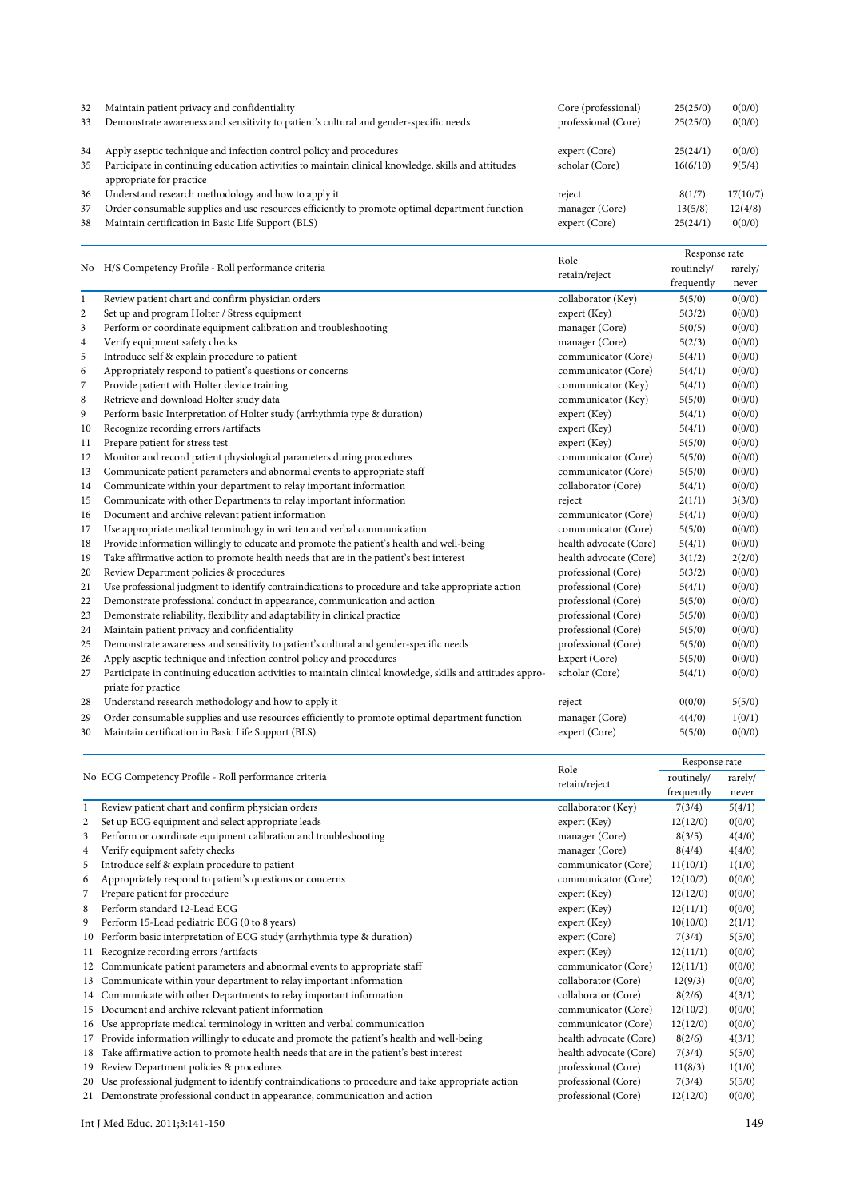| 32<br>33 | Maintain patient privacy and confidentiality<br>Demonstrate awareness and sensitivity to patient's cultural and gender-specific needs                | Core (professional)<br>professional (Core) | 25(25/0)<br>25(25/0) | 0(0/0)<br>0(0/0)  |
|----------|------------------------------------------------------------------------------------------------------------------------------------------------------|--------------------------------------------|----------------------|-------------------|
| 34       | Apply aseptic technique and infection control policy and procedures                                                                                  | expert (Core)                              | 25(24/1)             | 0(0/0)            |
| 35       | Participate in continuing education activities to maintain clinical knowledge, skills and attitudes<br>appropriate for practice                      | scholar (Core)                             | 16(6/10)             | 9(5/4)            |
| 36       | Understand research methodology and how to apply it                                                                                                  | reject                                     | 8(1/7)               | 17(10/7)          |
| 37<br>38 | Order consumable supplies and use resources efficiently to promote optimal department function<br>Maintain certification in Basic Life Support (BLS) | manager (Core)<br>expert (Core)            | 13(5/8)<br>25(24/1)  | 12(4/8)<br>0(0/0) |

|              | No H/S Competency Profile - Roll performance criteria                                                                             | Role                   | Response rate |         |  |
|--------------|-----------------------------------------------------------------------------------------------------------------------------------|------------------------|---------------|---------|--|
|              |                                                                                                                                   | retain/reject          | routinely/    | rarely/ |  |
|              |                                                                                                                                   |                        | frequently    | never   |  |
| $\mathbf{1}$ | Review patient chart and confirm physician orders                                                                                 | collaborator (Key)     | 5(5/0)        | 0(0/0)  |  |
| $\sqrt{2}$   | Set up and program Holter / Stress equipment                                                                                      | expert (Key)           | 5(3/2)        | 0(0/0)  |  |
| 3            | Perform or coordinate equipment calibration and troubleshooting                                                                   | manager (Core)         | 5(0/5)        | 0(0/0)  |  |
| 4            | Verify equipment safety checks                                                                                                    | manager (Core)         | 5(2/3)        | 0(0/0)  |  |
| 5            | Introduce self & explain procedure to patient                                                                                     | communicator (Core)    | 5(4/1)        | 0(0/0)  |  |
| 6            | Appropriately respond to patient's questions or concerns                                                                          | communicator (Core)    | 5(4/1)        | 0(0/0)  |  |
| 7            | Provide patient with Holter device training                                                                                       | communicator (Key)     | 5(4/1)        | 0(0/0)  |  |
| 8            | Retrieve and download Holter study data                                                                                           | communicator (Key)     | 5(5/0)        | 0(0/0)  |  |
| 9            | Perform basic Interpretation of Holter study (arrhythmia type & duration)                                                         | expert (Key)           | 5(4/1)        | 0(0/0)  |  |
| 10           | Recognize recording errors /artifacts                                                                                             | expert (Key)           | 5(4/1)        | 0(0/0)  |  |
| 11           | Prepare patient for stress test                                                                                                   | expert (Key)           | 5(5/0)        | 0(0/0)  |  |
| 12           | Monitor and record patient physiological parameters during procedures                                                             | communicator (Core)    | 5(5/0)        | 0(0/0)  |  |
| 13           | Communicate patient parameters and abnormal events to appropriate staff                                                           | communicator (Core)    | 5(5/0)        | 0(0/0)  |  |
| 14           | Communicate within your department to relay important information                                                                 | collaborator (Core)    | 5(4/1)        | 0(0/0)  |  |
| 15           | Communicate with other Departments to relay important information                                                                 | reject                 | 2(1/1)        | 3(3/0)  |  |
| 16           | Document and archive relevant patient information                                                                                 | communicator (Core)    | 5(4/1)        | 0(0/0)  |  |
| 17           | Use appropriate medical terminology in written and verbal communication                                                           | communicator (Core)    | 5(5/0)        | 0(0/0)  |  |
| 18           | Provide information willingly to educate and promote the patient's health and well-being                                          | health advocate (Core) | 5(4/1)        | 0(0/0)  |  |
| 19           | Take affirmative action to promote health needs that are in the patient's best interest                                           | health advocate (Core) | 3(1/2)        | 2(2/0)  |  |
| 20           | Review Department policies & procedures                                                                                           | professional (Core)    | 5(3/2)        | 0(0/0)  |  |
| 21           | Use professional judgment to identify contraindications to procedure and take appropriate action                                  | professional (Core)    | 5(4/1)        | 0(0/0)  |  |
| 22           | Demonstrate professional conduct in appearance, communication and action                                                          | professional (Core)    | 5(5/0)        | 0(0/0)  |  |
| 23           | Demonstrate reliability, flexibility and adaptability in clinical practice                                                        | professional (Core)    | 5(5/0)        | 0(0/0)  |  |
| 24           | Maintain patient privacy and confidentiality                                                                                      | professional (Core)    | 5(5/0)        | 0(0/0)  |  |
| 25           | Demonstrate awareness and sensitivity to patient's cultural and gender-specific needs                                             | professional (Core)    | 5(5/0)        | 0(0/0)  |  |
| 26           | Apply aseptic technique and infection control policy and procedures                                                               | Expert (Core)          | 5(5/0)        | 0(0/0)  |  |
| 27           | Participate in continuing education activities to maintain clinical knowledge, skills and attitudes appro-<br>priate for practice | scholar (Core)         | 5(4/1)        | 0(0/0)  |  |
| 28           | Understand research methodology and how to apply it                                                                               | reject                 | 0(0/0)        | 5(5/0)  |  |
| 29           | Order consumable supplies and use resources efficiently to promote optimal department function                                    | manager (Core)         | 4(4/0)        | 1(0/1)  |  |
| 30           | Maintain certification in Basic Life Support (BLS)                                                                                | expert (Core)          | 5(5/0)        | 0(0/0)  |  |
|              |                                                                                                                                   | $\mathbf{r}$ 1         | Response rate |         |  |

|    | No ECG Competency Profile - Roll performance criteria                                            | Role                   |            |         |
|----|--------------------------------------------------------------------------------------------------|------------------------|------------|---------|
|    |                                                                                                  |                        | routinely/ | rarely/ |
|    |                                                                                                  | retain/reject          | frequently | never   |
|    | Review patient chart and confirm physician orders                                                | collaborator (Key)     | 7(3/4)     | 5(4/1)  |
| 2  | Set up ECG equipment and select appropriate leads                                                | expert (Key)           | 12(12/0)   | 0(0/0)  |
| 3  | Perform or coordinate equipment calibration and troubleshooting                                  | manager (Core)         | 8(3/5)     | 4(4/0)  |
| 4  | Verify equipment safety checks                                                                   | manager (Core)         | 8(4/4)     | 4(4/0)  |
| 5  | Introduce self & explain procedure to patient                                                    | communicator (Core)    | 11(10/1)   | 1(1/0)  |
| 6  | Appropriately respond to patient's questions or concerns                                         | communicator (Core)    | 12(10/2)   | 0(0/0)  |
| 7  | Prepare patient for procedure                                                                    | expert (Key)           | 12(12/0)   | 0(0/0)  |
| 8  | Perform standard 12-Lead ECG                                                                     | expert (Key)           | 12(11/1)   | 0(0/0)  |
| 9  | Perform 15-Lead pediatric ECG (0 to 8 years)                                                     | expert (Key)           | 10(10/0)   | 2(1/1)  |
| 10 | Perform basic interpretation of ECG study (arrhythmia type & duration)                           | expert (Core)          | 7(3/4)     | 5(5/0)  |
| 11 | Recognize recording errors / artifacts                                                           | expert (Key)           | 12(11/1)   | 0(0/0)  |
|    | Communicate patient parameters and abnormal events to appropriate staff                          | communicator (Core)    | 12(11/1)   | 0(0/0)  |
| 13 | Communicate within your department to relay important information                                | collaborator (Core)    | 12(9/3)    | 0(0/0)  |
| 14 | Communicate with other Departments to relay important information                                | collaborator (Core)    | 8(2/6)     | 4(3/1)  |
| 15 | Document and archive relevant patient information                                                | communicator (Core)    | 12(10/2)   | 0(0/0)  |
| 16 | Use appropriate medical terminology in written and verbal communication                          | communicator (Core)    | 12(12/0)   | 0(0/0)  |
|    | 17 Provide information willingly to educate and promote the patient's health and well-being      | health advocate (Core) | 8(2/6)     | 4(3/1)  |
|    | 18 Take affirmative action to promote health needs that are in the patient's best interest       | health advocate (Core) | 7(3/4)     | 5(5/0)  |
| 19 | Review Department policies & procedures                                                          | professional (Core)    | 11(8/3)    | 1(1/0)  |
| 20 | Use professional judgment to identify contraindications to procedure and take appropriate action | professional (Core)    | 7(3/4)     | 5(5/0)  |
|    | 21 Demonstrate professional conduct in appearance, communication and action                      | professional (Core)    | 12(12/0)   | 0(0/0)  |

Int J Med Educ. 2011;3:141-150 149